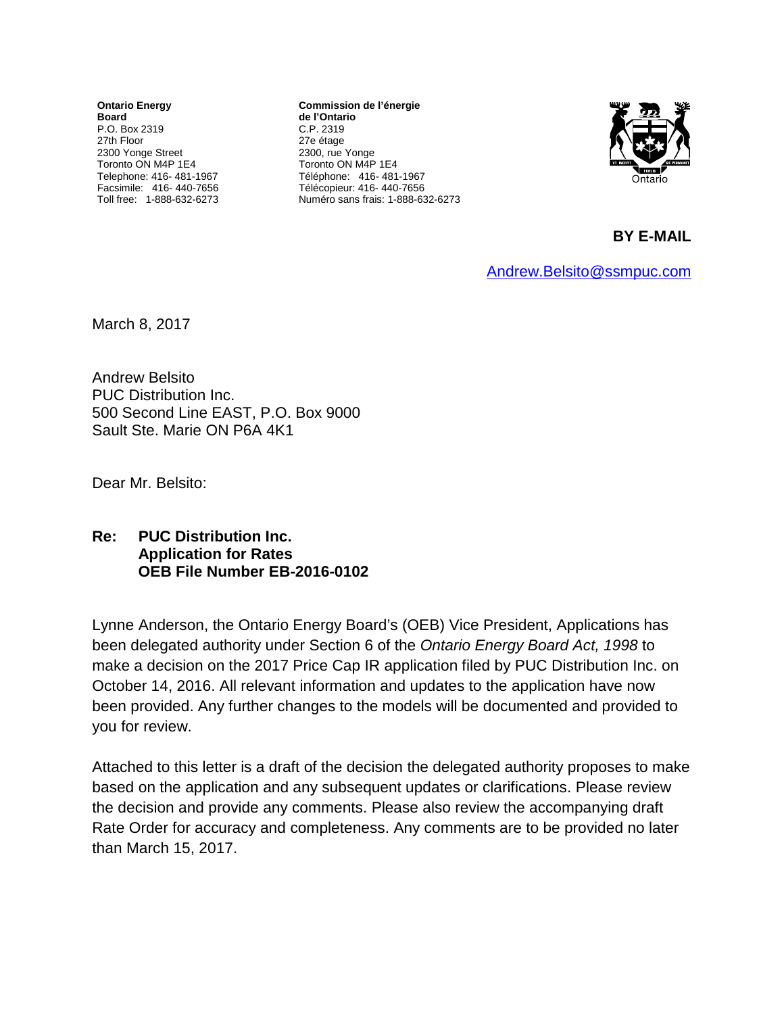**Ontario Energy Board** P.O. Box 2319 27th Floor 2300 Yonge Street Toronto ON M4P 1E4 Telephone: 416- 481-1967 Facsimile: 416- 440-7656 Toll free: 1-888-632-6273

**Commission de l'énergie de l'Ontario** C.P. 2319 27e étage 2300, rue Yonge Toronto ON M4P 1E4 Téléphone: 416- 481-1967 Télécopieur: 416- 440-7656 Numéro sans frais: 1-888-632-6273



**BY E-MAIL** 

[Andrew.Belsito@ssmpuc.com](mailto:Andrew.Belsito@ssmpuc.com)

March 8, 2017

Andrew Belsito PUC Distribution Inc. 500 Second Line EAST, P.O. Box 9000 Sault Ste. Marie ON P6A 4K1

Dear Mr. Belsito:

## **Re: PUC Distribution Inc. Application for Rates OEB File Number EB-2016-0102**

Lynne Anderson, the Ontario Energy Board's (OEB) Vice President, Applications has been delegated authority under Section 6 of the *Ontario Energy Board Act, 1998* to make a decision on the 2017 Price Cap IR application filed by PUC Distribution Inc. on October 14, 2016. All relevant information and updates to the application have now been provided. Any further changes to the models will be documented and provided to you for review.

Attached to this letter is a draft of the decision the delegated authority proposes to make based on the application and any subsequent updates or clarifications. Please review the decision and provide any comments. Please also review the accompanying draft Rate Order for accuracy and completeness. Any comments are to be provided no later than March 15, 2017.